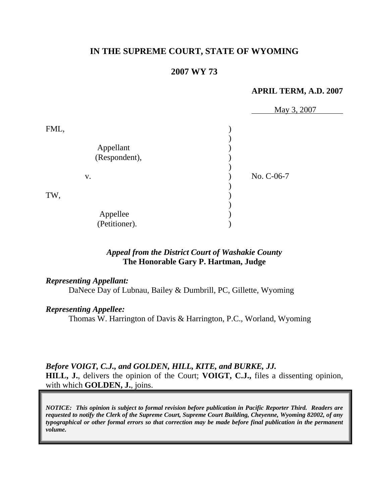# **IN THE SUPREME COURT, STATE OF WYOMING**

### **2007 WY 73**

#### **APRIL TERM, A.D. 2007**

|                           | May 3, 2007 |
|---------------------------|-------------|
| FML,<br>Appellant         |             |
| (Respondent),             |             |
| V.                        | No. C-06-7  |
| TW,                       |             |
| Appellee<br>(Petitioner). |             |

## *Appeal from the District Court of Washakie County* **The Honorable Gary P. Hartman, Judge**

### *Representing Appellant:*

DaNece Day of Lubnau, Bailey & Dumbrill, PC, Gillette, Wyoming

### *Representing Appellee:*

Thomas W. Harrington of Davis & Harrington, P.C., Worland, Wyoming

### *Before VOIGT, C.J., and GOLDEN, HILL, KITE, and BURKE, JJ.*

**HILL, J.**, delivers the opinion of the Court; **VOIGT, C.J.,** files a dissenting opinion, with which **GOLDEN, J.**, joins.

*NOTICE: This opinion is subject to formal revision before publication in Pacific Reporter Third. Readers are requested to notify the Clerk of the Supreme Court, Supreme Court Building, Cheyenne, Wyoming 82002, of any typographical or other formal errors so that correction may be made before final publication in the permanent volume.*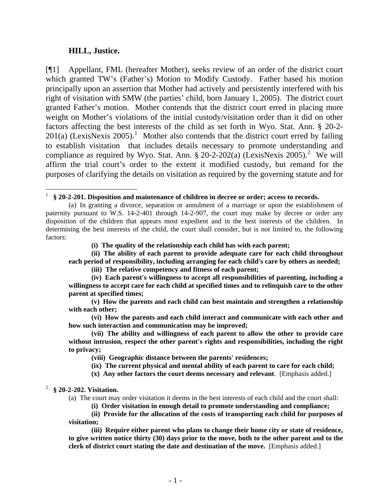#### **HILL, Justice.**

l

[¶1] Appellant, FML (hereafter Mother), seeks review of an order of the district court which granted TW's (Father's) Motion to Modify Custody. Father based his motion principally upon an assertion that Mother had actively and persistently interfered with his right of visitation with SMW (the parties' child, born January 1, 2005). The district court granted Father's motion. Mother contends that the district court erred in placing more weight on Mother's violations of the initial custody/visitation order than it did on other factors affecting the best interests of the child as set forth in Wyo. Stat. Ann. § 20-2-  $201(a)$  $201(a)$  $201(a)$  (LexisNexis 2005).<sup>1</sup> Mother also contends that the district court erred by failing to establish visitation that includes details necessary to promote understanding and compliance as required by Wyo. Stat. Ann.  $\S 20-2-202(a)$  $\S 20-2-202(a)$  $\S 20-2-202(a)$  (LexisNexis 2005).<sup>2</sup> We will affirm the trial court's order to the extent it modified custody, but remand for the purposes of clarifying the details on visitation as required by the governing statute and for

**(i) The quality of the relationship each child has with each parent;** 

 **(ii) The ability of each parent to provide adequate care for each child throughout each period of responsibility, including arranging for each child's care by others as needed;** 

 **(iii) The relative competency and fitness of each parent;** 

 **(viii) Geographic distance between the parents' residences;** 

 **(ix) The current physical and mental ability of each parent to care for each child;** 

**(x) Any other factors the court deems necessary and relevant**. [Emphasis added.]

<span id="page-2-1"></span>2 **§ 20-2-202. Visitation.**

(a) The court may order visitation it deems in the best interests of each child and the court shall:

**(i) Order visitation in enough detail to promote understanding and compliance;** 

**(ii) Provide for the allocation of the costs of transporting each child for purposes of visitation;** 

**(iii) Require either parent who plans to change their home city or state of residence, to give written notice thirty (30) days prior to the move, both to the other parent and to the clerk of district court stating the date and destination of the move.** [Emphasis added.]

<span id="page-2-0"></span><sup>1</sup> **§ 20-2-201. Disposition and maintenance of children in decree or order; access to records.**

 <sup>(</sup>a) In granting a divorce, separation or annulment of a marriage or upon the establishment of paternity pursuant to W.S. 14-2-401 through 14-2-907, the court may make by decree or order any disposition of the children that appears most expedient and in the best interests of the children. In determining the best interests of the child, the court shall consider, but is not limited to, the following factors:

 **<sup>(</sup>iv) Each parent's willingness to accept all responsibilities of parenting, including a willingness to accept care for each child at specified times and to relinquish care to the other parent at specified times;** 

**<sup>(</sup>v) How the parents and each child can best maintain and strengthen a relationship with each other;** 

**<sup>(</sup>vi) How the parents and each child interact and communicate with each other and how such interaction and communication may be improved;** 

**<sup>(</sup>vii) The ability and willingness of each parent to allow the other to provide care without intrusion, respect the other parent's rights and responsibilities, including the right to privacy;**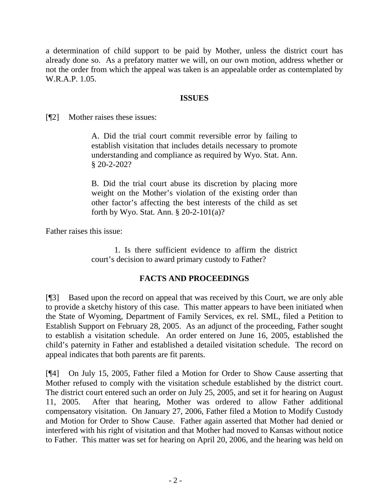a determination of child support to be paid by Mother, unless the district court has already done so. As a prefatory matter we will, on our own motion, address whether or not the order from which the appeal was taken is an appealable order as contemplated by W.R.A.P. 1.05.

### **ISSUES**

[¶2] Mother raises these issues:

A. Did the trial court commit reversible error by failing to establish visitation that includes details necessary to promote understanding and compliance as required by Wyo. Stat. Ann. § 20-2-202?

B. Did the trial court abuse its discretion by placing more weight on the Mother's violation of the existing order than other factor's affecting the best interests of the child as set forth by Wyo. Stat. Ann. § 20-2-101(a)?

Father raises this issue:

1. Is there sufficient evidence to affirm the district court's decision to award primary custody to Father?

## **FACTS AND PROCEEDINGS**

[¶3] Based upon the record on appeal that was received by this Court, we are only able to provide a sketchy history of this case. This matter appears to have been initiated when the State of Wyoming, Department of Family Services, ex rel. SML, filed a Petition to Establish Support on February 28, 2005. As an adjunct of the proceeding, Father sought to establish a visitation schedule. An order entered on June 16, 2005, established the child's paternity in Father and established a detailed visitation schedule. The record on appeal indicates that both parents are fit parents.

[¶4] On July 15, 2005, Father filed a Motion for Order to Show Cause asserting that Mother refused to comply with the visitation schedule established by the district court. The district court entered such an order on July 25, 2005, and set it for hearing on August 11, 2005. After that hearing, Mother was ordered to allow Father additional compensatory visitation. On January 27, 2006, Father filed a Motion to Modify Custody and Motion for Order to Show Cause. Father again asserted that Mother had denied or interfered with his right of visitation and that Mother had moved to Kansas without notice to Father. This matter was set for hearing on April 20, 2006, and the hearing was held on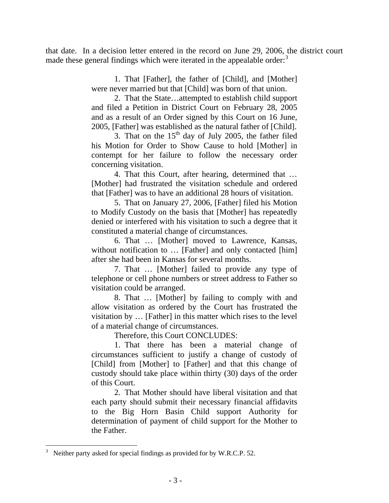that date. In a decision letter entered in the record on June 29, 2006, the district court made these general findings which were iterated in the appealable order: $3$ 

> 1. That [Father], the father of [Child], and [Mother] were never married but that [Child] was born of that union.

> 2. That the State…attempted to establish child support and filed a Petition in District Court on February 28, 2005 and as a result of an Order signed by this Court on 16 June, 2005, [Father] was established as the natural father of [Child].

> 3. That on the  $15<sup>th</sup>$  day of July 2005, the father filed his Motion for Order to Show Cause to hold [Mother] in contempt for her failure to follow the necessary order concerning visitation.

> 4. That this Court, after hearing, determined that … [Mother] had frustrated the visitation schedule and ordered that [Father] was to have an additional 28 hours of visitation.

> 5. That on January 27, 2006, [Father] filed his Motion to Modify Custody on the basis that [Mother] has repeatedly denied or interfered with his visitation to such a degree that it constituted a material change of circumstances.

> 6. That … [Mother] moved to Lawrence, Kansas, without notification to ... [Father] and only contacted [him] after she had been in Kansas for several months.

> 7. That … [Mother] failed to provide any type of telephone or cell phone numbers or street address to Father so visitation could be arranged.

> 8. That … [Mother] by failing to comply with and allow visitation as ordered by the Court has frustrated the visitation by … [Father] in this matter which rises to the level of a material change of circumstances.

Therefore, this Court CONCLUDES:

1. That there has been a material change of circumstances sufficient to justify a change of custody of [Child] from [Mother] to [Father] and that this change of custody should take place within thirty (30) days of the order of this Court.

2. That Mother should have liberal visitation and that each party should submit their necessary financial affidavits to the Big Horn Basin Child support Authority for determination of payment of child support for the Mother to the Father.

 $\overline{a}$ 

<span id="page-4-0"></span><sup>3</sup> Neither party asked for special findings as provided for by W.R.C.P. 52.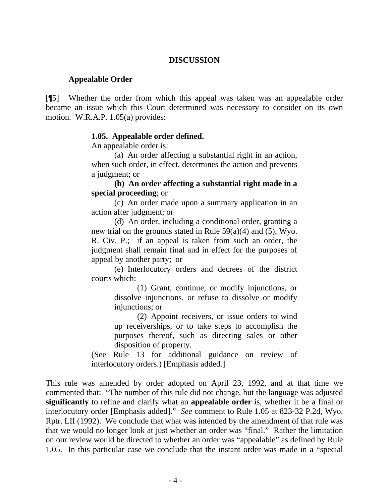### **DISCUSSION**

#### **Appealable Order**

[¶5] Whether the order from which this appeal was taken was an appealable order became an issue which this Court determined was necessary to consider on its own motion. W.R.A.P. 1.05(a) provides:

### **1.05. Appealable order defined.**

An appealable order is:

(a) An order affecting a substantial right in an action, when such order, in effect, determines the action and prevents a judgment; or

**(b) An order affecting a substantial right made in a special proceeding**; or

(c) An order made upon a summary application in an action after judgment; or

(d) An order, including a conditional order, granting a new trial on the grounds stated in Rule 59(a)(4) and (5), Wyo. R. Civ. P.; if an appeal is taken from such an order, the judgment shall remain final and in effect for the purposes of appeal by another party; or

(e) Interlocutory orders and decrees of the district courts which:

> (1) Grant, continue, or modify injunctions, or dissolve injunctions, or refuse to dissolve or modify injunctions; or

> (2) Appoint receivers, or issue orders to wind up receiverships, or to take steps to accomplish the purposes thereof, such as directing sales or other disposition of property.

(See Rule 13 for additional guidance on review of interlocutory orders.) [Emphasis added.]

This rule was amended by order adopted on April 23, 1992, and at that time we commented that: "The number of this rule did not change, but the language was adjusted **significantly** to refine and clarify what an **appealable order** is, whether it be a final or interlocutory order [Emphasis added]." *See* comment to Rule 1.05 at 823-32 P.2d, Wyo. Rptr. LII (1992). We conclude that what was intended by the amendment of that rule was that we would no longer look at just whether an order was "final." Rather the limitation on our review would be directed to whether an order was "appealable" as defined by Rule 1.05. In this particular case we conclude that the instant order was made in a "special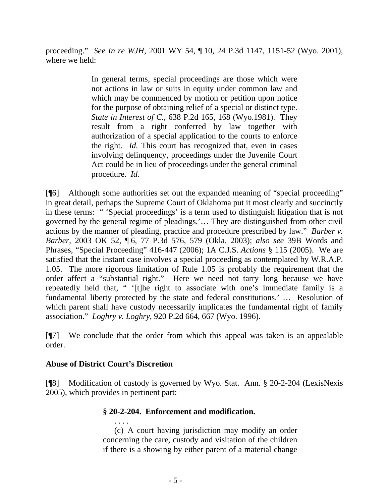proceeding." *See In re WJH*, 2001 WY 54, ¶ 10, 24 P.3d 1147, 1151-52 (Wyo. 2001), where we held:

> In general terms, special proceedings are those which were not actions in law or suits in equity under common law and which may be commenced by motion or petition upon notice for the purpose of obtaining relief of a special or distinct type. *State in Interest of C.*, 638 P.2d 165, 168 (Wyo.1981). They result from a right conferred by law together with authorization of a special application to the courts to enforce the right. *Id.* This court has recognized that, even in cases involving delinquency, proceedings under the Juvenile Court Act could be in lieu of proceedings under the general criminal procedure. *Id.*

[¶6] Although some authorities set out the expanded meaning of "special proceeding" in great detail, perhaps the Supreme Court of Oklahoma put it most clearly and succinctly in these terms: " 'Special proceedings' is a term used to distinguish litigation that is not governed by the general regime of pleadings.'… They are distinguished from other civil actions by the manner of pleading, practice and procedure prescribed by law." *Barber v. Barber*, 2003 OK 52, ¶ 6, 77 P.3d 576, 579 (Okla. 2003); *also see* 39B Words and Phrases, "Special Proceeding" 416-447 (2006); 1A C.J.S. *Actions* § 115 (2005). We are satisfied that the instant case involves a special proceeding as contemplated by W.R.A.P. 1.05. The more rigorous limitation of Rule 1.05 is probably the requirement that the order affect a "substantial right." Here we need not tarry long because we have repeatedly held that, " '[t]he right to associate with one's immediate family is a fundamental liberty protected by the state and federal constitutions.' … Resolution of which parent shall have custody necessarily implicates the fundamental right of family association." *Loghry v. Loghry*, 920 P.2d 664, 667 (Wyo. 1996).

[¶7] We conclude that the order from which this appeal was taken is an appealable order.

## **Abuse of District Court's Discretion**

[¶8] Modification of custody is governed by Wyo. Stat. Ann. § 20-2-204 (LexisNexis 2005), which provides in pertinent part:

# **§ 20-2-204. Enforcement and modification.**

 . . . . (c) A court having jurisdiction may modify an order concerning the care, custody and visitation of the children if there is a showing by either parent of a material change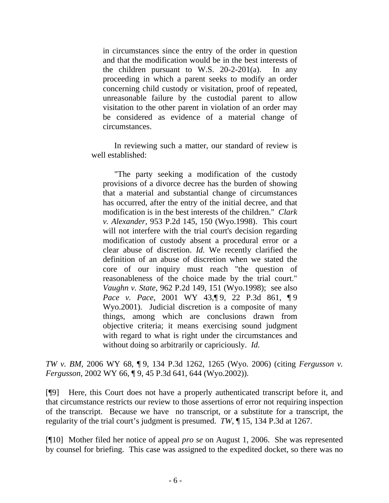in circumstances since the entry of the order in question and that the modification would be in the best interests of the children pursuant to W.S. 20-2-201(a). In any proceeding in which a parent seeks to modify an order concerning child custody or visitation, proof of repeated, unreasonable failure by the custodial parent to allow visitation to the other parent in violation of an order may be considered as evidence of a material change of circumstances.

In reviewing such a matter, our standard of review is well established:

 "The party seeking a modification of the custody provisions of a divorce decree has the burden of showing that a material and substantial change of circumstances has occurred, after the entry of the initial decree, and that modification is in the best interests of the children." *Clark v. Alexander*, 953 P.2d 145, 150 (Wyo.1998). This court will not interfere with the trial court's decision regarding modification of custody absent a procedural error or a clear abuse of discretion. *Id.* We recently clarified the definition of an abuse of discretion when we stated the core of our inquiry must reach "the question of reasonableness of the choice made by the trial court." *Vaughn v. State*, 962 P.2d 149, 151 (Wyo.1998); see also *Pace v. Pace*, 2001 WY 43,¶ 9, 22 P.3d 861, ¶ 9 Wyo.2001). Judicial discretion is a composite of many things, among which are conclusions drawn from objective criteria; it means exercising sound judgment with regard to what is right under the circumstances and without doing so arbitrarily or capriciously. *Id.*

*TW v. BM*, 2006 WY 68, ¶ 9, 134 P.3d 1262, 1265 (Wyo. 2006) (citing *Fergusson v. Fergusson*, 2002 WY 66, ¶ 9, 45 P.3d 641, 644 (Wyo.2002)).

[¶9] Here, this Court does not have a properly authenticated transcript before it, and that circumstance restricts our review to those assertions of error not requiring inspection of the transcript. Because we have no transcript, or a substitute for a transcript, the regularity of the trial court's judgment is presumed. *TW*, ¶ 15, 134 P.3d at 1267.

[¶10] Mother filed her notice of appeal *pro se* on August 1, 2006. She was represented by counsel for briefing. This case was assigned to the expedited docket, so there was no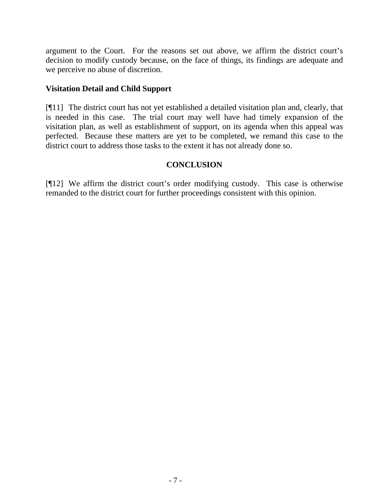argument to the Court. For the reasons set out above, we affirm the district court's decision to modify custody because, on the face of things, its findings are adequate and we perceive no abuse of discretion.

# **Visitation Detail and Child Support**

[¶11] The district court has not yet established a detailed visitation plan and, clearly, that is needed in this case. The trial court may well have had timely expansion of the visitation plan, as well as establishment of support, on its agenda when this appeal was perfected. Because these matters are yet to be completed, we remand this case to the district court to address those tasks to the extent it has not already done so.

# **CONCLUSION**

[¶12] We affirm the district court's order modifying custody. This case is otherwise remanded to the district court for further proceedings consistent with this opinion.